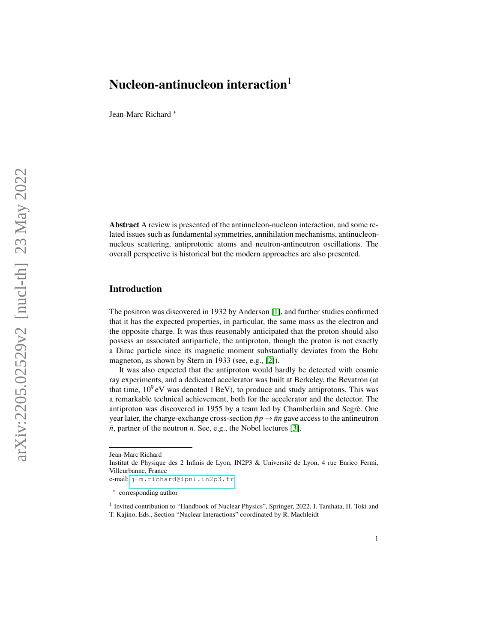Jean-Marc Richard ∗

Abstract A review is presented of the antinucleon-nucleon interaction, and some related issues such as fundamental symmetries, annihilation mechanisms, antinucleonnucleus scattering, antiprotonic atoms and neutron-antineutron oscillations. The overall perspective is historical but the modern approaches are also presented.

#### Introduction

The positron was discovered in 1932 by Anderson [\[1\]](#page-17-0), and further studies confirmed that it has the expected properties, in particular, the same mass as the electron and the opposite charge. It was thus reasonably anticipated that the proton should also possess an associated antiparticle, the antiproton, though the proton is not exactly a Dirac particle since its magnetic moment substantially deviates from the Bohr magneton, as shown by Stern in 1933 (see, e.g., [\[2\]](#page-17-1)).

It was also expected that the antiproton would hardly be detected with cosmic ray experiments, and a dedicated accelerator was built at Berkeley, the Bevatron (at that time,  $10^9$  eV was denoted 1 BeV), to produce and study antiprotons. This was a remarkable technical achievement, both for the accelerator and the detector. The antiproton was discovered in 1955 by a team led by Chamberlain and Segre. One ` year later, the charge-exchange cross-section  $\bar{p}p \rightarrow \bar{n}n$  gave access to the antineutron  $\bar{n}$ , partner of the neutron  $n$ . See, e.g., the Nobel lectures [\[3\]](#page-17-2).

Jean-Marc Richard

Institut de Physique des 2 Infinis de Lyon, IN2P3 & Universite de Lyon, 4 rue Enrico Fermi, ´ Villeurbanne, France

e-mail: <j-m.richard@ipnl.in2p3.fr>

<sup>∗</sup> corresponding author

<sup>&</sup>lt;sup>1</sup> Invited contribution to "Handbook of Nuclear Physics", Springer, 2022, I. Tanihata, H. Toki and T. Kajino, Eds., Section "Nuclear Interactions" coordinated by R. Machleidt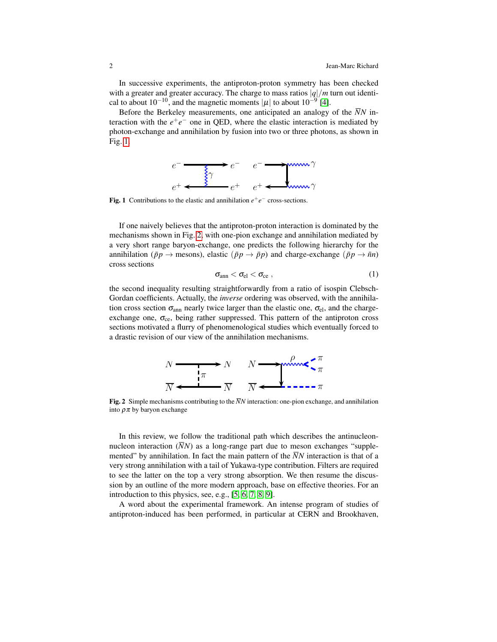In successive experiments, the antiproton-proton symmetry has been checked with a greater and greater accuracy. The charge to mass ratios  $|q|/m$  turn out identical to about  $10^{-10}$ , and the magnetic moments  $|\mu|$  to about  $10^{-9}$  [\[4\]](#page-17-3).

Before the Berkeley measurements, one anticipated an analogy of the  $\overline{N}N$  interaction with the  $e^+e^-$  one in QED, where the elastic interaction is mediated by photon-exchange and annihilation by fusion into two or three photons, as shown in Fig. [1.](#page-1-0)



<span id="page-1-0"></span>Fig. 1 Contributions to the elastic and annihilation  $e^+e^-$  cross-sections.

If one naively believes that the antiproton-proton interaction is dominated by the mechanisms shown in Fig. [2,](#page-1-1) with one-pion exchange and annihilation mediated by a very short range baryon-exchange, one predicts the following hierarchy for the annihilation ( $\bar{p}p \rightarrow$  mesons), elastic ( $\bar{p}p \rightarrow \bar{p}p$ ) and charge-exchange ( $\bar{p}p \rightarrow \bar{n}n$ ) cross sections

$$
\sigma_{ann} < \sigma_{el} < \sigma_{ce} \; , \qquad \qquad (1)
$$

the second inequality resulting straightforwardly from a ratio of isospin Clebsch-Gordan coefficients. Actually, the *inverse* ordering was observed, with the annihilation cross section  $\sigma_{ann}$  nearly twice larger than the elastic one,  $\sigma_{el}$ , and the chargeexchange one,  $\sigma_{ce}$ , being rather suppressed. This pattern of the antiproton cross sections motivated a flurry of phenomenological studies which eventually forced to a drastic revision of our view of the annihilation mechanisms.



<span id="page-1-1"></span>**Fig. 2** Simple mechanisms contributing to the  $\overline{N}N$  interaction: one-pion exchange, and annihilation into  $\rho \pi$  by baryon exchange

In this review, we follow the traditional path which describes the antinucleonnucleon interaction  $(\overline{N}N)$  as a long-range part due to meson exchanges "supplemented" by annihilation. In fact the main pattern of the  $\overline{N}N$  interaction is that of a very strong annihilation with a tail of Yukawa-type contribution. Filters are required to see the latter on the top a very strong absorption. We then resume the discussion by an outline of the more modern approach, base on effective theories. For an introduction to this physics, see, e.g., [\[5,](#page-17-4) [6,](#page-17-5) [7,](#page-17-6) [8,](#page-17-7) [9\]](#page-17-8).

A word about the experimental framework. An intense program of studies of antiproton-induced has been performed, in particular at CERN and Brookhaven,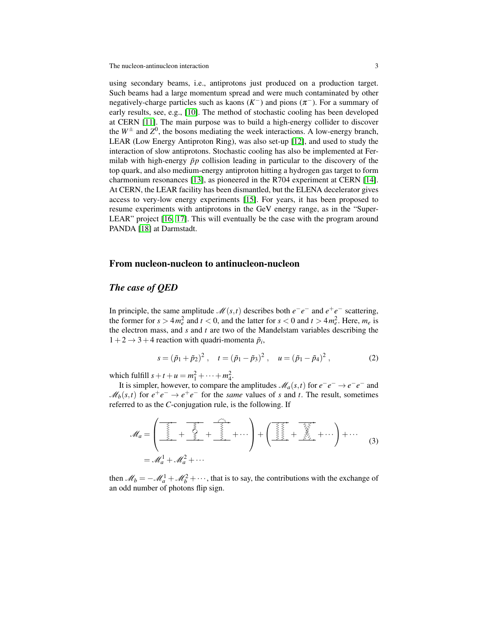using secondary beams, i.e., antiprotons just produced on a production target. Such beams had a large momentum spread and were much contaminated by other negatively-charge particles such as kaons  $(K^-)$  and pions  $(\pi^-)$ . For a summary of early results, see, e.g., [\[10\]](#page-17-9). The method of stochastic cooling has been developed at CERN [\[11\]](#page-17-10). The main purpose was to build a high-energy collider to discover the  $W^{\pm}$  and  $Z^{0}$ , the bosons mediating the week interactions. A low-energy branch, LEAR (Low Energy Antiproton Ring), was also set-up [\[12\]](#page-17-11), and used to study the interaction of slow antiprotons. Stochastic cooling has also be implemented at Fermilab with high-energy  $\bar{p}p$  collision leading in particular to the discovery of the top quark, and also medium-energy antiproton hitting a hydrogen gas target to form charmonium resonances [\[13\]](#page-17-12), as pioneered in the R704 experiment at CERN [\[14\]](#page-17-13). At CERN, the LEAR facility has been dismantled, but the ELENA decelerator gives access to very-low energy experiments [\[15\]](#page-17-14). For years, it has been proposed to resume experiments with antiprotons in the GeV energy range, as in the "Super-LEAR" project [\[16,](#page-17-15) [17\]](#page-17-16). This will eventually be the case with the program around PANDA [\[18\]](#page-17-17) at Darmstadt.

#### From nucleon-nucleon to antinucleon-nucleon

#### *The case of QED*

In principle, the same amplitude  $\mathcal{M}(s,t)$  describes both  $e^-e^-$  and  $e^+e^-$  scattering, the former for  $s > 4m_e^2$  and  $t < 0$ , and the latter for  $s < 0$  and  $t > 4m_e^2$ . Here,  $m_e$  is the electron mass, and *s* and *t* are two of the Mandelstam variables describing the  $1+2 \rightarrow 3+4$  reaction with quadri-momenta  $\tilde{p}_i$ ,

$$
s = (\tilde{p}_1 + \tilde{p}_2)^2
$$
,  $t = (\tilde{p}_1 - \tilde{p}_3)^2$ ,  $u = (\tilde{p}_1 - \tilde{p}_4)^2$ , (2)

which fulfill  $s + t + u = m_1^2 + \dots + m_4^2$ .

It is simpler, however, to compare the amplitudes  $\mathcal{M}_a(s,t)$  for  $e^-e^- \to e^-e^-$  and  $\mathcal{M}_b(s,t)$  for  $e^+e^- \to e^+e^-$  for the *same* values of *s* and *t*. The result, sometimes referred to as the *C*-conjugation rule, is the following. If

$$
\mathcal{M}_a = \left( \underbrace{\overbrace{\begin{matrix} \overrightarrow{z_1} \\ \overrightarrow{z_2} \\ \overrightarrow{z_3} \end{matrix}}}_{\mathcal{A}} + \underbrace{\overbrace{\begin{matrix} \overrightarrow{z_1} \\ \overrightarrow{z_2} \\ \overrightarrow{z_3} \end{matrix}}}_{\mathcal{A}} + \underbrace{\overbrace{\begin{matrix} \overrightarrow{z_1} \\ \overrightarrow{z_2} \\ \overrightarrow{z_3} \end{matrix}}}_{\mathcal{A}} + \cdots \right) + \left( \underbrace{\overbrace{\begin{matrix} \overrightarrow{z_1} \\ \overrightarrow{z_2} \\ \overrightarrow{z_3} \end{matrix}}}_{\mathcal{A}} + \underbrace{\overbrace{\begin{matrix} \overrightarrow{z_2} \\ \overrightarrow{z_3} \\ \overrightarrow{z_2} \end{matrix}}}_{\mathcal{A}} + \cdots \right) + \cdots (3)
$$

then  $\mathcal{M}_b = -\mathcal{M}_a^1 + \mathcal{M}_b^2 + \cdots$ , that is to say, the contributions with the exchange of an odd number of photons flip sign.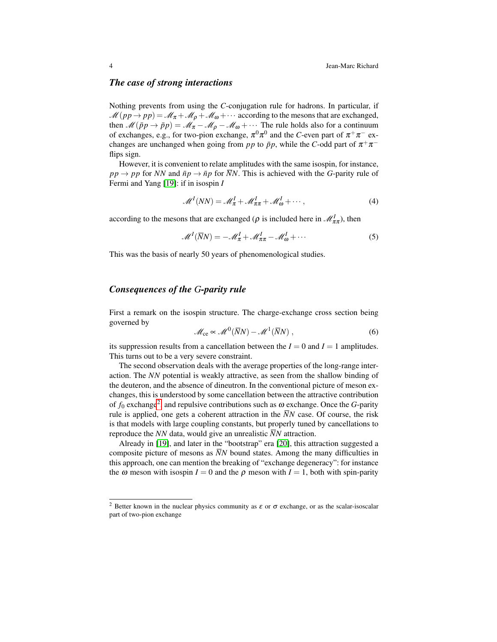#### *The case of strong interactions*

Nothing prevents from using the *C*-conjugation rule for hadrons. In particular, if  $\mathcal{M}(pp \to pp) = \mathcal{M}_{\pi} + \mathcal{M}_{\rho} + \mathcal{M}_{\omega} + \cdots$  according to the mesons that are exchanged, then  $\mathcal{M}(\bar{p}p \to \bar{p}p) = \mathcal{M}_{\pi} - \mathcal{M}_{\rho} - \mathcal{M}_{\omega} + \cdots$  The rule holds also for a continuum of exchanges, e.g., for two-pion exchange,  $\pi^0 \pi^0$  and the *C*-even part of  $\pi^+ \pi^-$  exchanges are unchanged when going from  $pp$  to  $\bar{p}p$ , while the *C*-odd part of  $\pi^+\pi^$ flips sign.

However, it is convenient to relate amplitudes with the same isospin, for instance,  $pp \rightarrow pp$  for *NN* and  $\bar{np} \rightarrow \bar{np}$  for  $\bar{N}N$ . This is achieved with the *G*-parity rule of Fermi and Yang [\[19\]](#page-17-18): if in isospin *I*

$$
\mathcal{M}^{I}(NN) = \mathcal{M}_{\pi}^{I} + \mathcal{M}_{\pi\pi}^{I} + \mathcal{M}_{\omega}^{I} + \cdots,
$$
\n(4)

according to the mesons that are exchanged ( $\rho$  is included here in  $\mathcal{M}_{\pi\pi}^I$ ), then

$$
\mathcal{M}^{I}(\overline{N}N) = -\mathcal{M}_{\pi}^{I} + \mathcal{M}_{\pi\pi}^{I} - \mathcal{M}_{\omega}^{I} + \cdots
$$
 (5)

This was the basis of nearly 50 years of phenomenological studies.

# *Consequences of the G-parity rule*

First a remark on the isospin structure. The charge-exchange cross section being governed by

$$
\mathcal{M}_{\rm ce} \propto \mathcal{M}^0(\overline{N}N) - \mathcal{M}^1(\overline{N}N) ,\qquad (6)
$$

its suppression results from a cancellation between the  $I = 0$  and  $I = 1$  amplitudes. This turns out to be a very severe constraint.

The second observation deals with the average properties of the long-range interaction. The *NN* potential is weakly attractive, as seen from the shallow binding of the deuteron, and the absence of dineutron. In the conventional picture of meson exchanges, this is understood by some cancellation between the attractive contribution of  $f_0$  exchange<sup>[2](#page-3-0)</sup>, and repulsive contributions such as  $\omega$  exchange. Once the *G*-parity rule is applied, one gets a coherent attraction in the  $\overline{N}N$  case. Of course, the risk is that models with large coupling constants, but properly tuned by cancellations to reproduce the *NN* data, would give an unrealistic  $\overline{N}N$  attraction.

Already in [\[19\]](#page-17-18), and later in the "bootstrap" era [\[20\]](#page-17-19), this attraction suggested a composite picture of mesons as  $\overline{N}N$  bound states. Among the many difficulties in this approach, one can mention the breaking of "exchange degeneracy": for instance the  $\omega$  meson with isospin  $I = 0$  and the  $\rho$  meson with  $I = 1$ , both with spin-parity

<span id="page-3-0"></span><sup>&</sup>lt;sup>2</sup> Better known in the nuclear physics community as  $\varepsilon$  or  $\sigma$  exchange, or as the scalar-isoscalar part of two-pion exchange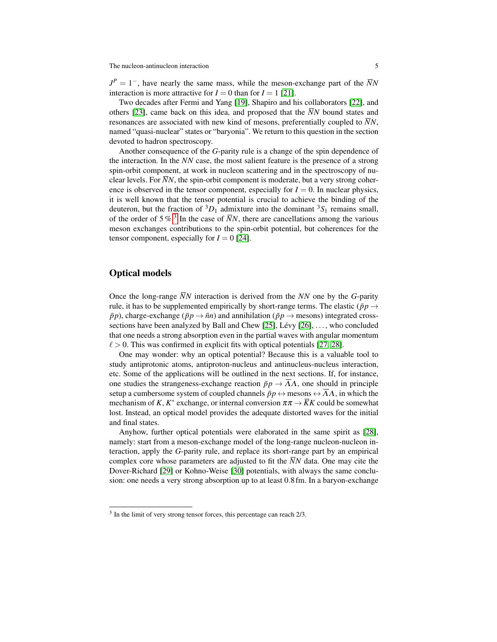$J^P = 1^-$ , have nearly the same mass, while the meson-exchange part of the  $\bar{N}N$ interaction is more attractive for  $I = 0$  than for  $I = 1$  [\[21\]](#page-17-20).

Two decades after Fermi and Yang [\[19\]](#page-17-18), Shapiro and his collaborators [\[22\]](#page-17-21), and others [\[23\]](#page-18-0), came back on this idea, and proposed that the  $\overline{N}N$  bound states and resonances are associated with new kind of mesons, preferentially coupled to  $\overline{N}N$ , named "quasi-nuclear" states or "baryonia". We return to this question in the section devoted to hadron spectroscopy.

Another consequence of the *G*-parity rule is a change of the spin dependence of the interaction. In the *NN* case, the most salient feature is the presence of a strong spin-orbit component, at work in nucleon scattering and in the spectroscopy of nuclear levels. For  $\overline{N}N$ , the spin-orbit component is moderate, but a very strong coherence is observed in the tensor component, especially for  $I = 0$ . In nuclear physics, it is well known that the tensor potential is crucial to achieve the binding of the deuteron, but the fraction of  ${}^{3}D_1$  admixture into the dominant  ${}^{3}S_1$  remains small, of the order of  $5\%$ <sup>[3](#page-4-0)</sup>. In the case of  $\overline{N}N$ , there are cancellations among the various meson exchanges contributions to the spin-orbit potential, but coherences for the tensor component, especially for  $I = 0$  [\[24\]](#page-18-1).

# Optical models

Once the long-range  $\overline{N}N$  interaction is derived from the  $\overline{N}N$  one by the *G*-parity rule, it has to be supplemented empirically by short-range terms. The elastic ( $\bar{p}p \rightarrow$  $\bar{p}p$ ), charge-exchange ( $\bar{p}p \rightarrow \bar{n}n$ ) and annihilation ( $\bar{p}p \rightarrow$  mesons) integrated crosssections have been analyzed by Ball and Chew  $[25]$ , Lévy  $[26]$ , ..., who concluded that one needs a strong absorption even in the partial waves with angular momentum  $\ell > 0$ . This was confirmed in explicit fits with optical potentials [\[27,](#page-18-4) [28\]](#page-18-5).

One may wonder: why an optical potential? Because this is a valuable tool to study antiprotonic atoms, antiproton-nucleus and antinucleus-nucleus interaction, etc. Some of the applications will be outlined in the next sections. If, for instance, one studies the strangeness-exchange reaction  $\bar{p}p \to \bar{A}A$ , one should in principle setup a cumbersome system of coupled channels  $\bar{p}p \leftrightarrow$  mesons  $\leftrightarrow \bar{A}A$ , in which the mechanism of *K*,  $K^*$  exchange, or internal conversion  $\pi \pi \to \overline{K}K$  could be somewhat lost. Instead, an optical model provides the adequate distorted waves for the initial and final states.

Anyhow, further optical potentials were elaborated in the same spirit as [\[28\]](#page-18-5), namely: start from a meson-exchange model of the long-range nucleon-nucleon interaction, apply the *G*-parity rule, and replace its short-range part by an empirical complex core whose parameters are adjusted to fit the  $\overline{N}N$  data. One may cite the Dover-Richard [\[29\]](#page-18-6) or Kohno-Weise [\[30\]](#page-18-7) potentials, with always the same conclusion: one needs a very strong absorption up to at least 0.8 fm. In a baryon-exchange

<span id="page-4-0"></span> $3$  In the limit of very strong tensor forces, this percentage can reach  $2/3$ .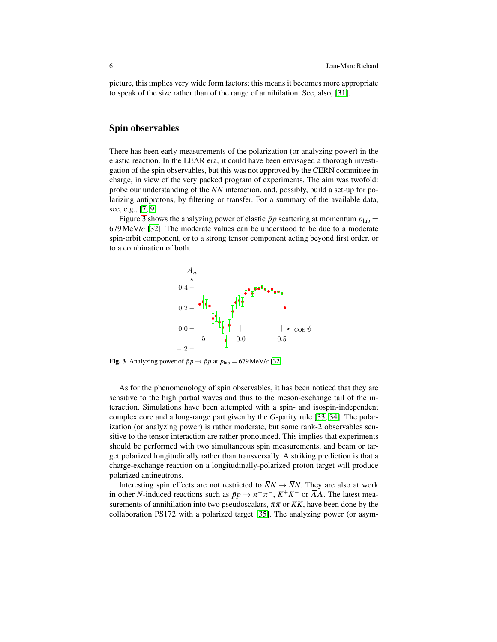picture, this implies very wide form factors; this means it becomes more appropriate to speak of the size rather than of the range of annihilation. See, also, [\[31\]](#page-18-8).

#### Spin observables

There has been early measurements of the polarization (or analyzing power) in the elastic reaction. In the LEAR era, it could have been envisaged a thorough investigation of the spin observables, but this was not approved by the CERN committee in charge, in view of the very packed program of experiments. The aim was twofold: probe our understanding of the *NN* interaction, and, possibly, build a set-up for polarizing antiprotons, by filtering or transfer. For a summary of the available data, see, e.g., [\[7,](#page-17-6) [9\]](#page-17-8).

Figure [3](#page-5-0) shows the analyzing power of elastic  $\bar{p}p$  scattering at momentum  $p_{lab}$ 679MeV/*c* [\[32\]](#page-18-9). The moderate values can be understood to be due to a moderate spin-orbit component, or to a strong tensor component acting beyond first order, or to a combination of both.



<span id="page-5-0"></span>**Fig. 3** Analyzing power of  $\bar{p}p \rightarrow \bar{p}p$  at  $p_{\text{lab}} = 679 \text{ MeV}/c$  [\[32\]](#page-18-9).

As for the phenomenology of spin observables, it has been noticed that they are sensitive to the high partial waves and thus to the meson-exchange tail of the interaction. Simulations have been attempted with a spin- and isospin-independent complex core and a long-range part given by the *G*-parity rule [\[33,](#page-18-10) [34\]](#page-18-11). The polarization (or analyzing power) is rather moderate, but some rank-2 observables sensitive to the tensor interaction are rather pronounced. This implies that experiments should be performed with two simultaneous spin measurements, and beam or target polarized longitudinally rather than transversally. A striking prediction is that a charge-exchange reaction on a longitudinally-polarized proton target will produce polarized antineutrons.

Interesting spin effects are not restricted to  $\overline{N}N \rightarrow \overline{N}N$ . They are also at work in other  $\overline{N}$ -induced reactions such as  $\bar{p}p \to \pi^+\pi^-, K^+K^-$  or  $\overline{\Lambda}\Lambda$ . The latest measurements of annihilation into two pseudoscalars,  $\pi \pi$  or  $KK$ , have been done by the collaboration PS172 with a polarized target [\[35\]](#page-18-12). The analyzing power (or asym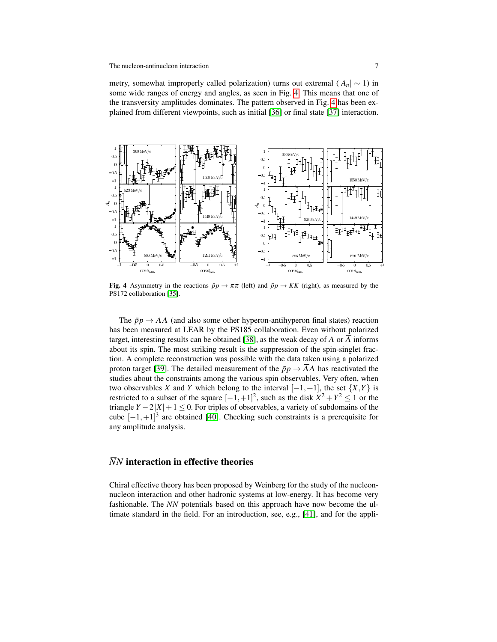metry, somewhat improperly called polarization) turns out extremal ( $|A_n| \sim 1$ ) in some wide ranges of energy and angles, as seen in Fig. [4.](#page-6-0) This means that one of the transversity amplitudes dominates. The pattern observed in Fig. [4](#page-6-0) has been explained from different viewpoints, such as initial [\[36\]](#page-18-13) or final state [\[37\]](#page-18-14) interaction.



<span id="page-6-0"></span>Fig. 4 Asymmetry in the reactions  $\bar{p}p \to \pi \pi$  (left) and  $\bar{p}p \to KK$  (right), as measured by the PS172 collaboration [\[35\]](#page-18-12).

The  $\bar{p}p \to \bar{A}A$  (and also some other hyperon-antihyperon final states) reaction has been measured at LEAR by the PS185 collaboration. Even without polarized target, interesting results can be obtained [\[38\]](#page-18-15), as the weak decay of  $\Lambda$  or  $\Lambda$  informs about its spin. The most striking result is the suppression of the spin-singlet fraction. A complete reconstruction was possible with the data taken using a polarized proton target [\[39\]](#page-18-16). The detailed measurement of the  $\bar{p}p \to \Lambda\Lambda$  has reactivated the studies about the constraints among the various spin observables. Very often, when two observables *X* and *Y* which belong to the interval  $[-1, +1]$ , the set  $\{X, Y\}$  is restricted to a subset of the square  $[-1, +1]^2$ , such as the disk  $X^2 + Y^2 \le 1$  or the triangle  $Y - 2|X| + 1 \leq 0$ . For triples of observables, a variety of subdomains of the cube  $[-1, +1]^3$  are obtained [\[40\]](#page-18-17). Checking such constraints is a prerequisite for any amplitude analysis.

# *NN* interaction in effective theories

Chiral effective theory has been proposed by Weinberg for the study of the nucleonnucleon interaction and other hadronic systems at low-energy. It has become very fashionable. The *NN* potentials based on this approach have now become the ultimate standard in the field. For an introduction, see, e.g., [\[41\]](#page-18-18), and for the appli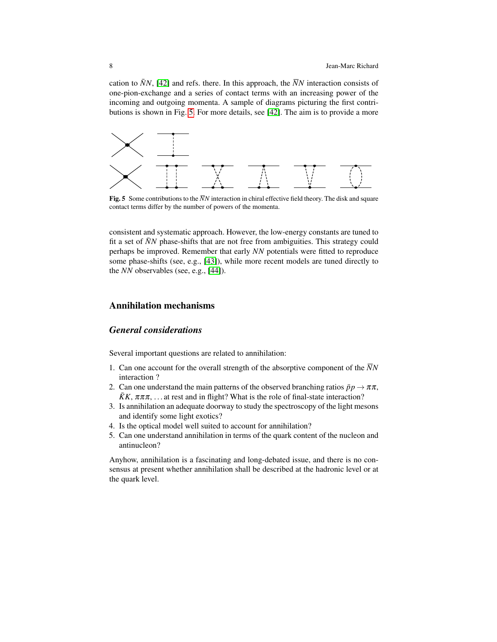cation to  $\bar{N}N$ , [\[42\]](#page-18-19) and refs. there. In this approach, the  $\bar{N}N$  interaction consists of one-pion-exchange and a series of contact terms with an increasing power of the incoming and outgoing momenta. A sample of diagrams picturing the first contributions is shown in Fig. [5.](#page-7-0) For more details, see [\[42\]](#page-18-19). The aim is to provide a more



<span id="page-7-0"></span>**Fig. 5** Some contributions to the  $\overline{N}N$  interaction in chiral effective field theory. The disk and square contact terms differ by the number of powers of the momenta.

consistent and systematic approach. However, the low-energy constants are tuned to fit a set of  $\bar{N}N$  phase-shifts that are not free from ambiguities. This strategy could perhaps be improved. Remember that early *NN* potentials were fitted to reproduce some phase-shifts (see, e.g., [\[43\]](#page-18-20)), while more recent models are tuned directly to the *NN* observables (see, e.g., [\[44\]](#page-18-21)).

## Annihilation mechanisms

# *General considerations*

Several important questions are related to annihilation:

- 1. Can one account for the overall strength of the absorptive component of the  $\overline{N}N$ interaction ?
- 2. Can one understand the main patterns of the observed branching ratios  $\bar{p}p \to \pi \pi$ ,  $\overline{K}K$ ,  $\pi\pi\pi$ , ... at rest and in flight? What is the role of final-state interaction?
- 3. Is annihilation an adequate doorway to study the spectroscopy of the light mesons and identify some light exotics?
- 4. Is the optical model well suited to account for annihilation?
- 5. Can one understand annihilation in terms of the quark content of the nucleon and antinucleon?

Anyhow, annihilation is a fascinating and long-debated issue, and there is no consensus at present whether annihilation shall be described at the hadronic level or at the quark level.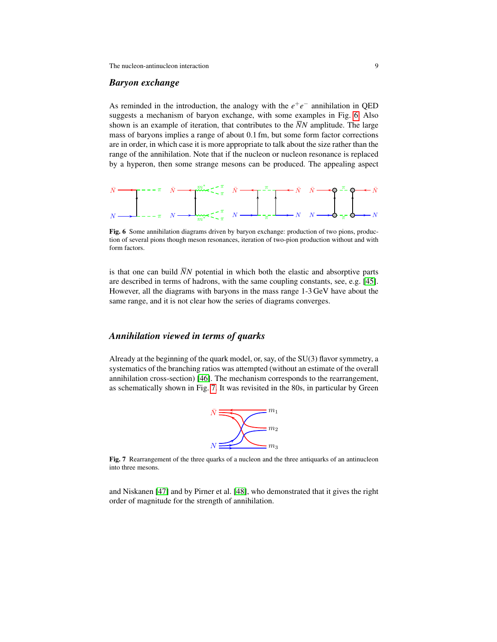#### *Baryon exchange*

As reminded in the introduction, the analogy with the  $e^+e^-$  annihilation in QED suggests a mechanism of baryon exchange, with some examples in Fig. [6.](#page-8-0) Also shown is an example of iteration, that contributes to the  $\overline{N}N$  amplitude. The large mass of baryons implies a range of about 0.1 fm, but some form factor corrections are in order, in which case it is more appropriate to talk about the size rather than the range of the annihilation. Note that if the nucleon or nucleon resonance is replaced by a hyperon, then some strange mesons can be produced. The appealing aspect



<span id="page-8-0"></span>Fig. 6 Some annihilation diagrams driven by baryon exchange: production of two pions, production of several pions though meson resonances, iteration of two-pion production without and with form factors.

is that one can build  $\overline{N}N$  potential in which both the elastic and absorptive parts are described in terms of hadrons, with the same coupling constants, see, e.g. [\[45\]](#page-18-22). However, all the diagrams with baryons in the mass range 1-3 GeV have about the same range, and it is not clear how the series of diagrams converges.

## *Annihilation viewed in terms of quarks*

Already at the beginning of the quark model, or, say, of the SU(3) flavor symmetry, a systematics of the branching ratios was attempted (without an estimate of the overall annihilation cross-section) [\[46\]](#page-18-23). The mechanism corresponds to the rearrangement, as schematically shown in Fig. [7.](#page-8-1) It was revisited in the 80s, in particular by Green



<span id="page-8-1"></span>Fig. 7 Rearrangement of the three quarks of a nucleon and the three antiquarks of an antinucleon into three mesons.

and Niskanen [\[47\]](#page-18-24) and by Pirner et al. [\[48\]](#page-18-25), who demonstrated that it gives the right order of magnitude for the strength of annihilation.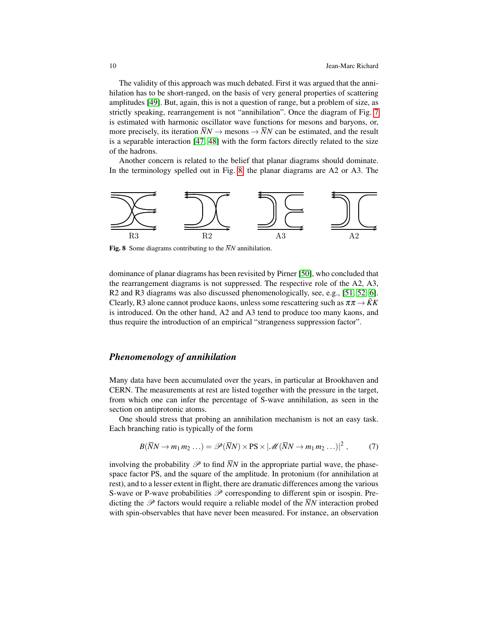The validity of this approach was much debated. First it was argued that the annihilation has to be short-ranged, on the basis of very general properties of scattering amplitudes [\[49\]](#page-19-0). But, again, this is not a question of range, but a problem of size, as strictly speaking, rearrangement is not "annihilation". Once the diagram of Fig. [7](#page-8-1) is estimated with harmonic oscillator wave functions for mesons and baryons, or, more precisely, its iteration  $\bar{N}N \to$  mesons  $\to \bar{N}N$  can be estimated, and the result is a separable interaction [\[47,](#page-18-24) [48\]](#page-18-25) with the form factors directly related to the size of the hadrons.

Another concern is related to the belief that planar diagrams should dominate. In the terminology spelled out in Fig. [8,](#page-9-0) the planar diagrams are A2 or A3. The



<span id="page-9-0"></span>**Fig. 8** Some diagrams contributing to the  $\overline{N}N$  annihilation.

dominance of planar diagrams has been revisited by Pirner [\[50\]](#page-19-1), who concluded that the rearrangement diagrams is not suppressed. The respective role of the A2, A3, R2 and R3 diagrams was also discussed phenomenologically, see, e.g., [\[51,](#page-19-2) [52,](#page-19-3) [6\]](#page-17-5). Clearly, R3 alone cannot produce kaons, unless some rescattering such as  $\pi \pi \rightarrow \bar{K}K$ is introduced. On the other hand, A2 and A3 tend to produce too many kaons, and thus require the introduction of an empirical "strangeness suppression factor".

# *Phenomenology of annihilation*

Many data have been accumulated over the years, in particular at Brookhaven and CERN. The measurements at rest are listed together with the pressure in the target, from which one can infer the percentage of S-wave annihilation, as seen in the section on antiprotonic atoms.

One should stress that probing an annihilation mechanism is not an easy task. Each branching ratio is typically of the form

$$
B(\overline{N}N \to m_1 m_2 \dots) = \mathscr{P}(\overline{N}N) \times \text{PS} \times |\mathscr{M}(\overline{N}N \to m_1 m_2 \dots)|^2 , \qquad (7)
$$

involving the probability  $\mathscr P$  to find  $\overline N N$  in the appropriate partial wave, the phasespace factor PS, and the square of the amplitude. In protonium (for annihilation at rest), and to a lesser extent in flight, there are dramatic differences among the various S-wave or P-wave probabilities  $\mathscr P$  corresponding to different spin or isospin. Predicting the  $\mathscr P$  factors would require a reliable model of the  $\overline{N}N$  interaction probed with spin-observables that have never been measured. For instance, an observation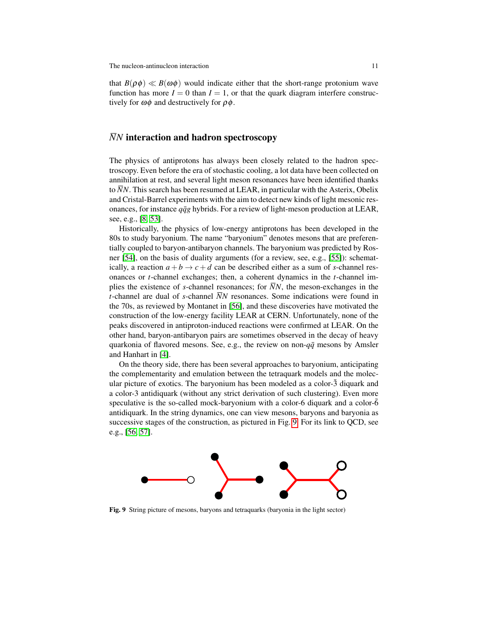that  $B(\rho \phi) \ll B(\omega \phi)$  would indicate either that the short-range protonium wave function has more  $I = 0$  than  $I = 1$ , or that the quark diagram interfere constructively for  $\omega\phi$  and destructively for  $\rho\phi$ .

# *NN* interaction and hadron spectroscopy

The physics of antiprotons has always been closely related to the hadron spectroscopy. Even before the era of stochastic cooling, a lot data have been collected on annihilation at rest, and several light meson resonances have been identified thanks to  $\overline{N}N$ . This search has been resumed at LEAR, in particular with the Asterix, Obelix and Cristal-Barrel experiments with the aim to detect new kinds of light mesonic resonances, for instance  $q\bar{q}g$  hybrids. For a review of light-meson production at LEAR, see, e.g., [\[8,](#page-17-7) [53\]](#page-19-4).

Historically, the physics of low-energy antiprotons has been developed in the 80s to study baryonium. The name "baryonium" denotes mesons that are preferentially coupled to baryon-antibaryon channels. The baryonium was predicted by Rosner [\[54\]](#page-19-5), on the basis of duality arguments (for a review, see, e.g., [\[55\]](#page-19-6)): schematically, a reaction  $a + b \rightarrow c + d$  can be described either as a sum of *s*-channel resonances or *t*-channel exchanges; then, a coherent dynamics in the *t*-channel implies the existence of *s*-channel resonances; for  $\overline{N}N$ , the meson-exchanges in the *t*-channel are dual of *s*-channel  $\overline{N}N$  resonances. Some indications were found in the 70s, as reviewed by Montanet in [\[56\]](#page-19-7), and these discoveries have motivated the construction of the low-energy facility LEAR at CERN. Unfortunately, none of the peaks discovered in antiproton-induced reactions were confirmed at LEAR. On the other hand, baryon-antibaryon pairs are sometimes observed in the decay of heavy quarkonia of flavored mesons. See, e.g., the review on non- $q\bar{q}$  mesons by Amsler and Hanhart in [\[4\]](#page-17-3).

On the theory side, there has been several approaches to baryonium, anticipating the complementarity and emulation between the tetraquark models and the molecular picture of exotics. The baryonium has been modeled as a color- $\bar{3}$  diquark and a color-3 antidiquark (without any strict derivation of such clustering). Even more speculative is the so-called mock-baryonium with a color-6 diquark and a color- $\overline{6}$ antidiquark. In the string dynamics, one can view mesons, baryons and baryonia as successive stages of the construction, as pictured in Fig. [9.](#page-10-0) For its link to QCD, see e.g., [\[56,](#page-19-7) [57\]](#page-19-8).



<span id="page-10-0"></span>Fig. 9 String picture of mesons, baryons and tetraquarks (baryonia in the light sector)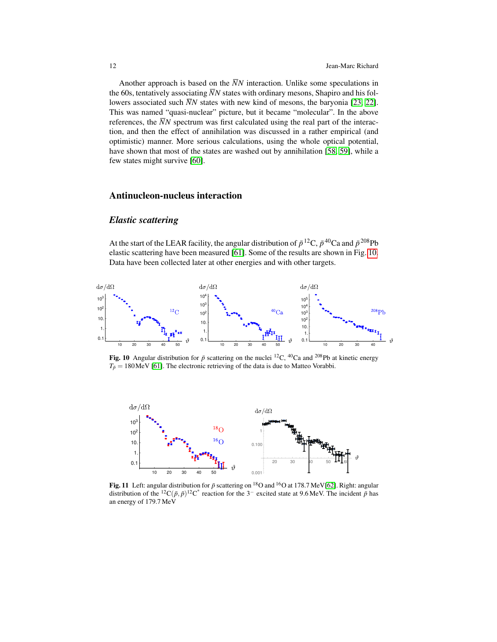Another approach is based on the  $\overline{N}N$  interaction. Unlike some speculations in the 60s, tentatively associating  $\overline{N}N$  states with ordinary mesons, Shapiro and his followers associated such  $\overline{N}N$  states with new kind of mesons, the baryonia [\[23,](#page-18-0) [22\]](#page-17-21). This was named "quasi-nuclear" picture, but it became "molecular". In the above references, the  $\overline{N}N$  spectrum was first calculated using the real part of the interaction, and then the effect of annihilation was discussed in a rather empirical (and optimistic) manner. More serious calculations, using the whole optical potential, have shown that most of the states are washed out by annihilation [\[58,](#page-19-9) [59\]](#page-19-10), while a few states might survive [\[60\]](#page-19-11).

# Antinucleon-nucleus interaction

# *Elastic scattering*

At the start of the LEAR facility, the angular distribution of  $\bar{p}^{12}C$ ,  $\bar{p}^{40}Ca$  and  $\bar{p}^{208}Pb$ elastic scattering have been measured [\[61\]](#page-19-12). Some of the results are shown in Fig. [10.](#page-11-0) Data have been collected later at other energies and with other targets.



<span id="page-11-0"></span>Fig. 10 Angular distribution for  $\bar{p}$  scattering on the nuclei <sup>12</sup>C, <sup>40</sup>Ca and <sup>208</sup>Pb at kinetic energy  $T_{\bar{p}} = 180$ MeV [\[61\]](#page-19-12). The electronic retrieving of the data is due to Matteo Vorabbi.



<span id="page-11-1"></span>Fig. 11 Left: angular distribution for  $\bar{p}$  scattering on <sup>18</sup>O and <sup>16</sup>O at 178.7 MeV[\[62\]](#page-19-13). Right: angular distribution of the <sup>12</sup>C( $\bar{p}$ ,  $\bar{p}$ )<sup>12</sup>C<sup>\*</sup> reaction for the 3<sup>-</sup> excited state at 9.6 MeV. The incident  $\bar{p}$  has an energy of 179.7 MeV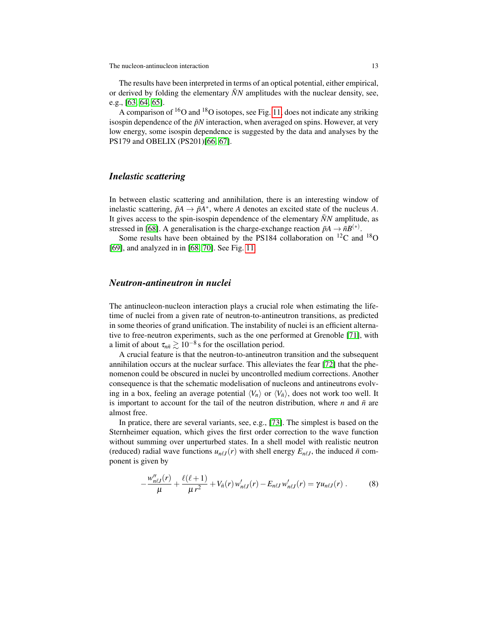The results have been interpreted in terms of an optical potential, either empirical, or derived by folding the elementary  $\bar{N}N$  amplitudes with the nuclear density, see, e.g., [\[63,](#page-19-14) [64,](#page-19-15) [65\]](#page-19-16).

A comparison of  ${}^{16}O$  and  ${}^{18}O$  isotopes, see Fig. [11,](#page-11-1) does not indicate any striking isospin dependence of the  $\bar{p}N$  interaction, when averaged on spins. However, at very low energy, some isospin dependence is suggested by the data and analyses by the PS179 and OBELIX (PS201)[\[66,](#page-19-17) [67\]](#page-19-18).

# *Inelastic scattering*

In between elastic scattering and annihilation, there is an interesting window of inelastic scattering,  $\bar{p}A \rightarrow \bar{p}A^*$ , where *A* denotes an excited state of the nucleus *A*. It gives access to the spin-isospin dependence of the elementary  $\bar{N}N$  amplitude, as stressed in [\[68\]](#page-19-19). A generalisation is the charge-exchange reaction  $\bar{p}A \rightarrow \bar{n}B^{(*)}$ .

Some results have been obtained by the PS184 collaboration on  $^{12}$ C and  $^{18}$ O [\[69\]](#page-19-20), and analyzed in in [\[68,](#page-19-19) [70\]](#page-19-21). See Fig. [11.](#page-11-1)

## *Neutron-antineutron in nuclei*

The antinucleon-nucleon interaction plays a crucial role when estimating the lifetime of nuclei from a given rate of neutron-to-antineutron transitions, as predicted in some theories of grand unification. The instability of nuclei is an efficient alternative to free-neutron experiments, such as the one performed at Grenoble [\[71\]](#page-19-22), with a limit of about  $\tau_{n\bar{n}} \gtrsim 10^{-8}$  s for the oscillation period.

A crucial feature is that the neutron-to-antineutron transition and the subsequent annihilation occurs at the nuclear surface. This alleviates the fear [\[72\]](#page-19-23) that the phenomenon could be obscured in nuclei by uncontrolled medium corrections. Another consequence is that the schematic modelisation of nucleons and antineutrons evolving in a box, feeling an average potential  $\langle V_n \rangle$  or  $\langle V_n \rangle$ , does not work too well. It is important to account for the tail of the neutron distribution, where  $n$  and  $\bar{n}$  are almost free.

In pratice, there are several variants, see, e.g., [\[73\]](#page-19-24). The simplest is based on the Sternheimer equation, which gives the first order correction to the wave function without summing over unperturbed states. In a shell model with realistic neutron (reduced) radial wave functions  $u_{n\ell J}(r)$  with shell energy  $E_{n\ell J}$ , the induced  $\bar{n}$  component is given by

$$
-\frac{w_{n\ell J}''(r)}{\mu} + \frac{\ell(\ell+1)}{\mu r^2} + V_{\bar{n}}(r) w_{n\ell J}'(r) - E_{n\ell J} w_{n\ell J}'(r) = \gamma u_{n\ell J}(r) . \tag{8}
$$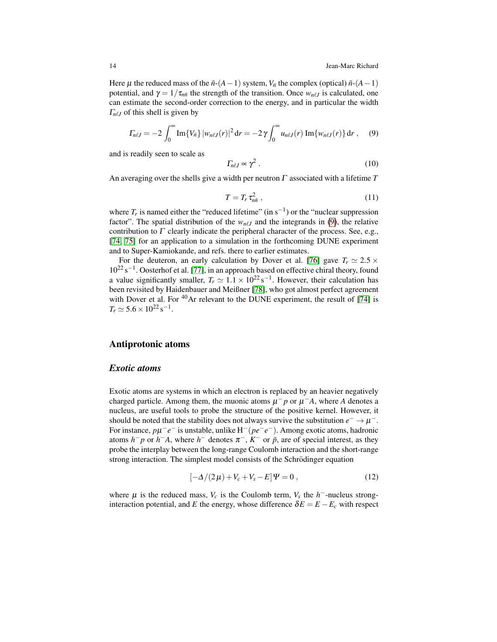Here  $\mu$  the reduced mass of the  $\bar{n}$ - $(A-1)$  system,  $V_{\bar{n}}$  the complex (optical)  $\bar{n}$ - $(A-1)$ potential, and  $\gamma = 1/\tau_{n\bar{n}}$  the strength of the transition. Once  $w_{n\ell J}$  is calculated, one can estimate the second-order correction to the energy, and in particular the width  $\Gamma_{n\ell J}$  of this shell is given by

$$
\Gamma_{n\ell J} = -2 \int_0^\infty \text{Im}\{V_{\bar{n}}\} |w_{n\ell J}(r)|^2 dr = -2 \gamma \int_0^\infty u_{n\ell J}(r) \text{Im}\{w_{n\ell J}(r)\} dr , \quad (9)
$$

and is readily seen to scale as

<span id="page-13-0"></span>
$$
\Gamma_{n\ell J} \propto \gamma^2 \ . \tag{10}
$$

An averaging over the shells give a width per neutron  $\Gamma$  associated with a lifetime  $T$ 

$$
T = T_r \tau_{n\bar{n}}^2 , \qquad (11)
$$

where  $T_r$  is named either the "reduced lifetime" (in s<sup>-1</sup>) or the "nuclear suppression factor". The spatial distribution of the  $w_{n\ell J}$  and the integrands in [\(9\)](#page-13-0), the relative contribution to  $\Gamma$  clearly indicate the peripheral character of the process. See, e.g., [\[74,](#page-19-25) [75\]](#page-19-26) for an application to a simulation in the forthcoming DUNE experiment and to Super-Kamiokande, and refs. there to earlier estimates.

For the deuteron, an early calculation by Dover et al. [\[76\]](#page-19-27) gave  $T_r \approx 2.5 \times$  $10^{22}$  s<sup>-1</sup>. Oosterhof et al. [\[77\]](#page-20-0), in an approach based on effective chiral theory, found a value significantly smaller,  $T_r \simeq 1.1 \times 10^{22} \text{ s}^{-1}$ . However, their calculation has been revisited by Haidenbauer and Meißner [\[78\]](#page-20-1), who got almost perfect agreement with Dover et al. For <sup>40</sup>Ar relevant to the DUNE experiment, the result of [\[74\]](#page-19-25) is  $T_r \simeq 5.6 \times 10^{22} \,\mathrm{s}^{-1}.$ 

## Antiprotonic atoms

#### *Exotic atoms*

Exotic atoms are systems in which an electron is replaced by an heavier negatively charged particle. Among them, the muonic atoms  $\mu^- p$  or  $\mu^- A$ , where *A* denotes a nucleus, are useful tools to probe the structure of the positive kernel. However, it should be noted that the stability does not always survive the substitution  $e^- \to \mu^-$ . For instance, *p*µ −*e* − is unstable, unlike H−(*pe*−*e* −). Among exotic atoms, hadronic atoms  $h^-p$  or  $h^-A$ , where  $h^-$  denotes  $\pi^-$ ,  $K^-$  or  $\bar{p}$ , are of special interest, as they probe the interplay between the long-range Coulomb interaction and the short-range strong interaction. The simplest model consists of the Schrödinger equation

<span id="page-13-1"></span>
$$
[-\Delta/(2\,\mu) + V_c + V_s - E]\Psi = 0\,,\tag{12}
$$

where  $\mu$  is the reduced mass,  $V_c$  is the Coulomb term,  $V_s$  the  $h^-$ -nucleus stronginteraction potential, and *E* the energy, whose difference  $\delta E = E - E_c$  with respect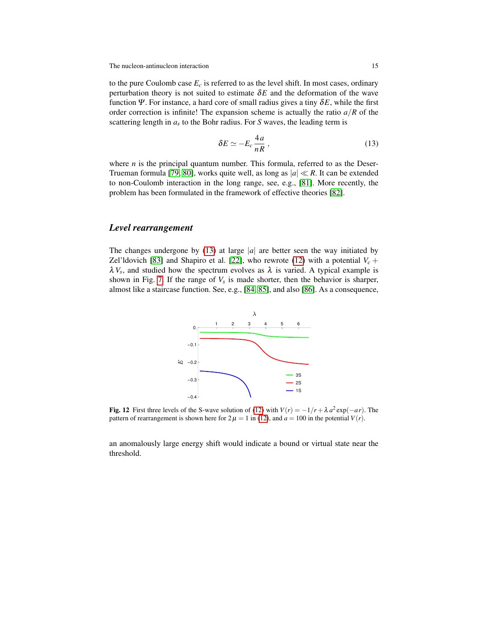to the pure Coulomb case  $E_c$  is referred to as the level shift. In most cases, ordinary perturbation theory is not suited to estimate  $\delta E$  and the deformation of the wave function  $\Psi$ . For instance, a hard core of small radius gives a tiny  $\delta E$ , while the first order correction is infinite! The expansion scheme is actually the ratio  $a/R$  of the scattering length in *a<sup>s</sup>* to the Bohr radius. For *S* waves, the leading term is

<span id="page-14-0"></span>
$$
\delta E \simeq -E_c \frac{4a}{nR} \,, \tag{13}
$$

where  $n$  is the principal quantum number. This formula, referred to as the Deser-Trueman formula [\[79,](#page-20-2) [80\]](#page-20-3), works quite well, as long as  $|a| \ll R$ . It can be extended to non-Coulomb interaction in the long range, see, e.g., [\[81\]](#page-20-4). More recently, the problem has been formulated in the framework of effective theories [\[82\]](#page-20-5).

# *Level rearrangement*

The changes undergone by  $(13)$  at large |a| are better seen the way initiated by Zel'ldovich [\[83\]](#page-20-6) and Shapiro et al. [\[22\]](#page-17-21), who rewrote [\(12\)](#page-13-1) with a potential  $V_c$  +  $\lambda V_s$ , and studied how the spectrum evolves as  $\lambda$  is varied. A typical example is shown in Fig. [7.](#page-8-1) If the range of  $V_s$  is made shorter, then the behavior is sharper, almost like a staircase function. See, e.g., [\[84,](#page-20-7) [85\]](#page-20-8), and also [\[86\]](#page-20-9). As a consequence,



Fig. 12 First three levels of the S-wave solution of [\(12\)](#page-13-1) with  $V(r) = -1/r + \lambda a^2 \exp(-ar)$ . The pattern of rearrangement is shown here for  $2\mu = 1$  in [\(12\)](#page-13-1), and  $a = 100$  in the potential  $V(r)$ .

an anomalously large energy shift would indicate a bound or virtual state near the threshold.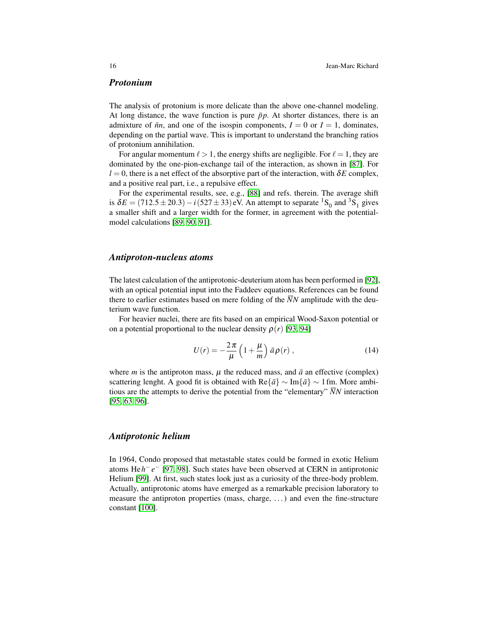#### *Protonium*

The analysis of protonium is more delicate than the above one-channel modeling. At long distance, the wave function is pure  $\bar{p}p$ . At shorter distances, there is an admixture of  $\bar{n}n$ , and one of the isospin components,  $I = 0$  or  $I = 1$ , dominates, depending on the partial wave. This is important to understand the branching ratios of protonium annihilation.

For angular momentum  $\ell > 1$ , the energy shifts are negligible. For  $\ell = 1$ , they are dominated by the one-pion-exchange tail of the interaction, as shown in [\[87\]](#page-20-10). For  $l = 0$ , there is a net effect of the absorptive part of the interaction, with  $\delta E$  complex, and a positive real part, i.e., a repulsive effect.

For the experimental results, see, e.g., [\[88\]](#page-20-11) and refs. therein. The average shift is  $\delta E = (712.5 \pm 20.3) - i (527 \pm 33)$  eV. An attempt to separate <sup>1</sup>S<sub>0</sub> and <sup>3</sup>S<sub>1</sub> gives a smaller shift and a larger width for the former, in agreement with the potentialmodel calculations [\[89,](#page-20-12) [90,](#page-20-13) [91\]](#page-20-14).

#### *Antiproton-nucleus atoms*

The latest calculation of the antiprotonic-deuterium atom has been performed in [\[92\]](#page-20-15), with an optical potential input into the Faddeev equations. References can be found there to earlier estimates based on mere folding of the  $\overline{N}N$  amplitude with the deuterium wave function.

For heavier nuclei, there are fits based on an empirical Wood-Saxon potential or on a potential proportional to the nuclear density  $\rho(r)$  [\[93,](#page-20-16) [94\]](#page-20-17)

$$
U(r) = -\frac{2\pi}{\mu} \left( 1 + \frac{\mu}{m} \right) \bar{a} \rho(r) , \qquad (14)
$$

where *m* is the antiproton mass,  $\mu$  the reduced mass, and  $\bar{a}$  an effective (complex) scattering lenght. A good fit is obtained with  $\text{Re}\{\bar{a}\}\sim \text{Im}\{\bar{a}\}\sim 1$  fm. More ambitious are the attempts to derive the potential from the "elementary"  $\overline{N}N$  interaction [\[95,](#page-20-18) [63,](#page-19-14) [96\]](#page-20-19).

## *Antiprotonic helium*

In 1964, Condo proposed that metastable states could be formed in exotic Helium atoms He*h* − *e* − [\[97,](#page-20-20) [98\]](#page-20-21). Such states have been observed at CERN in antiprotonic Helium [\[99\]](#page-20-22). At first, such states look just as a curiosity of the three-body problem. Actually, antiprotonic atoms have emerged as a remarkable precision laboratory to measure the antiproton properties (mass, charge, . . . ) and even the fine-structure constant [\[100\]](#page-20-23).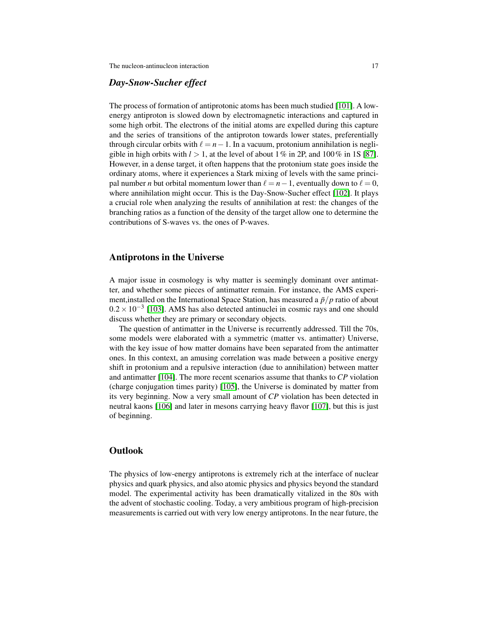# *Day-Snow-Sucher effect*

The process of formation of antiprotonic atoms has been much studied [\[101\]](#page-21-0). A lowenergy antiproton is slowed down by electromagnetic interactions and captured in some high orbit. The electrons of the initial atoms are expelled during this capture and the series of transitions of the antiproton towards lower states, preferentially through circular orbits with  $\ell = n-1$ . In a vacuum, protonium annihilation is negligible in high orbits with  $l > 1$ , at the level of about 1% in 2P, and 100% in 1S [\[87\]](#page-20-10). However, in a dense target, it often happens that the protonium state goes inside the ordinary atoms, where it experiences a Stark mixing of levels with the same principal number *n* but orbital momentum lower than  $\ell = n - 1$ , eventually down to  $\ell = 0$ , where annihilation might occur. This is the Day-Snow-Sucher effect [\[102\]](#page-21-1). It plays a crucial role when analyzing the results of annihilation at rest: the changes of the branching ratios as a function of the density of the target allow one to determine the contributions of S-waves vs. the ones of P-waves.

## Antiprotons in the Universe

A major issue in cosmology is why matter is seemingly dominant over antimatter, and whether some pieces of antimatter remain. For instance, the AMS experiment, installed on the International Space Station, has measured a  $\bar{p}/p$  ratio of about  $0.2 \times 10^{-3}$  [\[103\]](#page-21-2). AMS has also detected antinuclei in cosmic rays and one should discuss whether they are primary or secondary objects.

The question of antimatter in the Universe is recurrently addressed. Till the 70s, some models were elaborated with a symmetric (matter vs. antimatter) Universe, with the key issue of how matter domains have been separated from the antimatter ones. In this context, an amusing correlation was made between a positive energy shift in protonium and a repulsive interaction (due to annihilation) between matter and antimatter [\[104\]](#page-21-3). The more recent scenarios assume that thanks to *CP* violation (charge conjugation times parity) [\[105\]](#page-21-4), the Universe is dominated by matter from its very beginning. Now a very small amount of *CP* violation has been detected in neutral kaons [\[106\]](#page-21-5) and later in mesons carrying heavy flavor [\[107\]](#page-21-6), but this is just of beginning.

# **Outlook**

The physics of low-energy antiprotons is extremely rich at the interface of nuclear physics and quark physics, and also atomic physics and physics beyond the standard model. The experimental activity has been dramatically vitalized in the 80s with the advent of stochastic cooling. Today, a very ambitious program of high-precision measurements is carried out with very low energy antiprotons. In the near future, the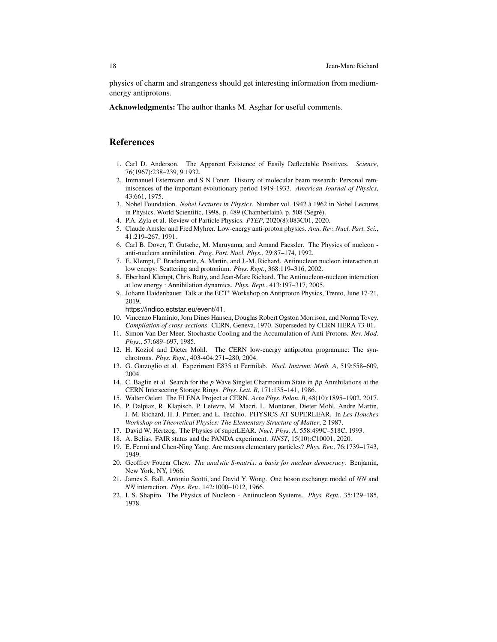physics of charm and strangeness should get interesting information from mediumenergy antiprotons.

Acknowledgments: The author thanks M. Asghar for useful comments.

# References

- <span id="page-17-0"></span>1. Carl D. Anderson. The Apparent Existence of Easily Deflectable Positives. *Science*, 76(1967):238–239, 9 1932.
- <span id="page-17-1"></span>2. Immanuel Estermann and S N Foner. History of molecular beam research: Personal reminiscences of the important evolutionary period 1919-1933. *American Journal of Physics*, 43:661, 1975.
- <span id="page-17-2"></span>3. Nobel Foundation. *Nobel Lectures in Physics*. Number vol. 1942 a 1962 in Nobel Lectures ` in Physics. World Scientific, 1998. p. 489 (Chamberlain), p. 508 (Segre). `
- <span id="page-17-3"></span>4. P.A. Zyla et al. Review of Particle Physics. *PTEP*, 2020(8):083C01, 2020.
- <span id="page-17-4"></span>5. Claude Amsler and Fred Myhrer. Low-energy anti-proton physics. *Ann. Rev. Nucl. Part. Sci.*, 41:219–267, 1991.
- <span id="page-17-5"></span>6. Carl B. Dover, T. Gutsche, M. Maruyama, and Amand Faessler. The Physics of nucleon anti-nucleon annihilation. *Prog. Part. Nucl. Phys.*, 29:87–174, 1992.
- <span id="page-17-6"></span>7. E. Klempt, F. Bradamante, A. Martin, and J.-M. Richard. Antinucleon nucleon interaction at low energy: Scattering and protonium. *Phys. Rept.*, 368:119–316, 2002.
- <span id="page-17-7"></span>8. Eberhard Klempt, Chris Batty, and Jean-Marc Richard. The Antinucleon-nucleon interaction at low energy : Annihilation dynamics. *Phys. Rept.*, 413:197–317, 2005.
- <span id="page-17-8"></span>9. Johann Haidenbauer. Talk at the ECT∗ Workshop on Antiproton Physics, Trento, June 17-21, 2019,

https://indico.ectstar.eu/event/41.

- <span id="page-17-9"></span>10. Vincenzo Flaminio, Jorn Dines Hansen, Douglas Robert Ogston Morrison, and Norma Tovey. *Compilation of cross-sections*. CERN, Geneva, 1970. Superseded by CERN HERA 73-01.
- <span id="page-17-10"></span>11. Simon Van Der Meer. Stochastic Cooling and the Accumulation of Anti-Protons. *Rev. Mod. Phys.*, 57:689–697, 1985.
- <span id="page-17-11"></span>12. H. Koziol and Dieter Mohl. The CERN low-energy antiproton programme: The synchrotrons. *Phys. Rept.*, 403-404:271–280, 2004.
- <span id="page-17-12"></span>13. G. Garzoglio et al. Experiment E835 at Fermilab. *Nucl. Instrum. Meth. A*, 519:558–609, 2004.
- <span id="page-17-13"></span>14. C. Baglin et al. Search for the  $p$  Wave Singlet Charmonium State in  $\bar{p}p$  Annihilations at the CERN Intersecting Storage Rings. *Phys. Lett. B*, 171:135–141, 1986.
- <span id="page-17-14"></span>15. Walter Oelert. The ELENA Project at CERN. *Acta Phys. Polon. B*, 48(10):1895–1902, 2017.
- <span id="page-17-15"></span>16. P. Dalpiaz, R. Klapisch, P. Lefevre, M. Macri, L. Montanet, Dieter Mohl, Andre Martin, J. M. Richard, H. J. Pirner, and L. Tecchio. PHYSICS AT SUPERLEAR. In *Les Houches Workshop on Theoretical Physics: The Elementary Structure of Matter*, 2 1987.
- <span id="page-17-16"></span>17. David W. Hertzog. The Physics of superLEAR. *Nucl. Phys. A*, 558:499C–518C, 1993.
- <span id="page-17-17"></span>18. A. Belias. FAIR status and the PANDA experiment. *JINST*, 15(10):C10001, 2020.
- <span id="page-17-18"></span>19. E. Fermi and Chen-Ning Yang. Are mesons elementary particles? *Phys. Rev.*, 76:1739–1743, 1949.
- <span id="page-17-19"></span>20. Geoffrey Foucar Chew. *The analytic S-matrix: a basis for nuclear democracy*. Benjamin, New York, NY, 1966.
- <span id="page-17-20"></span>21. James S. Ball, Antonio Scotti, and David Y. Wong. One boson exchange model of *NN* and *NN*¯ interaction. *Phys. Rev.*, 142:1000–1012, 1966.
- <span id="page-17-21"></span>22. I. S. Shapiro. The Physics of Nucleon - Antinucleon Systems. *Phys. Rept.*, 35:129–185, 1978.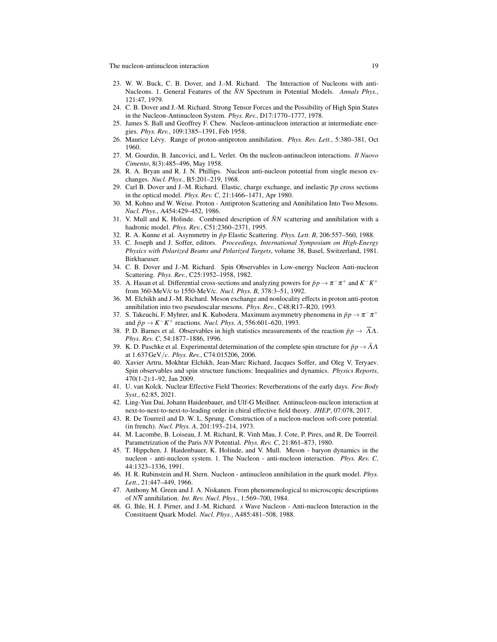- <span id="page-18-0"></span>23. W. W. Buck, C. B. Dover, and J.-M. Richard. The Interaction of Nucleons with anti-Nucleons. 1. General Features of the  $\bar{N}N$  Spectrum in Potential Models. *Annals Phys.*, 121:47, 1979.
- <span id="page-18-1"></span>24. C. B. Dover and J.-M. Richard. Strong Tensor Forces and the Possibility of High Spin States in the Nucleon-Antinucleon System. *Phys. Rev.*, D17:1770–1777, 1978.
- <span id="page-18-2"></span>25. James S. Ball and Geoffrey F. Chew. Nucleon-antinucleon interaction at intermediate energies. *Phys. Rev.*, 109:1385–1391, Feb 1958.
- <span id="page-18-3"></span>26. Maurice Lévy. Range of proton-antiproton annihilation. *Phys. Rev. Lett.*, 5:380–381, Oct 1960.
- <span id="page-18-4"></span>27. M. Gourdin, B. Jancovici, and L. Verlet. On the nucleon-antinucleon interactions. *Il Nuovo Cimento*, 8(3):485–496, May 1958.
- <span id="page-18-5"></span>28. R. A. Bryan and R. J. N. Phillips. Nucleon anti-nucleon potential from single meson exchanges. *Nucl. Phys.*, B5:201–219, 1968.
- <span id="page-18-6"></span>29. Carl B. Dover and J.-M. Richard. Elastic, charge exchange, and inelastic  $\bar{p}p$  cross sections in the optical model. *Phys. Rev. C*, 21:1466–1471, Apr 1980.
- <span id="page-18-7"></span>30. M. Kohno and W. Weise. Proton - Antiproton Scattering and Annihilation Into Two Mesons. *Nucl. Phys.*, A454:429–452, 1986.
- <span id="page-18-8"></span>31. V. Mull and K. Holinde. Combined description of  $\bar{N}N$  scattering and annihilation with a hadronic model. *Phys. Rev.*, C51:2360–2371, 1995.
- <span id="page-18-9"></span>32. R. A. Kunne et al. Asymmetry in ¯*pp* Elastic Scattering. *Phys. Lett. B*, 206:557–560, 1988.
- <span id="page-18-10"></span>33. C. Joseph and J. Soffer, editors. *Proceedings, International Symposium on High-Energy Physics with Polarized Beams and Polarized Targets*, volume 38, Basel, Switzerland, 1981. Birkhaeuser.
- <span id="page-18-11"></span>34. C. B. Dover and J.-M. Richard. Spin Observables in Low-energy Nucleon Anti-nucleon Scattering. *Phys. Rev.*, C25:1952–1958, 1982.
- <span id="page-18-12"></span>35. A. Hasan et al. Differential cross-sections and analyzing powers for  $\bar{p}p \to \pi^- \pi^+$  and  $K^- K^+$ from 360-MeV/c to 1550-MeV/c. *Nucl. Phys. B*, 378:3–51, 1992.
- <span id="page-18-13"></span>36. M. Elchikh and J.-M. Richard. Meson exchange and nonlocality effects in proton anti-proton annihilation into two pseudoscalar mesons. *Phys. Rev.*, C48:R17–R20, 1993.
- <span id="page-18-14"></span>37. S. Takeuchi, F. Myhrer, and K. Kubodera. Maximum asymmetry phenomena in  $\bar{p}p \to \pi^- \pi^+$ and  $\bar{p}p \to K^-K^+$  reactions. *Nucl. Phys. A*, 556:601–620, 1993.
- <span id="page-18-15"></span>38. P. D. Barnes et al. Observables in high statistics measurements of the reaction  $\bar{p}p \to \bar{\Lambda}\Lambda$ . *Phys. Rev. C*, 54:1877–1886, 1996.
- <span id="page-18-16"></span>39. K. D. Paschke et al. Experimental determination of the complete spin structure for  $\bar{p}p \rightarrow \bar{\Lambda}\Lambda$ at 1.637GeV/*c*. *Phys. Rev.*, C74:015206, 2006.
- <span id="page-18-17"></span>40. Xavier Artru, Mokhtar Elchikh, Jean-Marc Richard, Jacques Soffer, and Oleg V. Teryaev. Spin observables and spin structure functions: Inequalities and dynamics. *Physics Reports*, 470(1-2):1–92, Jan 2009.
- <span id="page-18-18"></span>41. U. van Kolck. Nuclear Effective Field Theories: Reverberations of the early days. *Few Body Syst.*, 62:85, 2021.
- <span id="page-18-19"></span>42. Ling-Yun Dai, Johann Haidenbauer, and Ulf-G Meißner. Antinucleon-nucleon interaction at next-to-next-to-next-to-leading order in chiral effective field theory. *JHEP*, 07:078, 2017.
- <span id="page-18-20"></span>43. R. De Tourreil and D. W. L. Sprung. Construction of a nucleon-nucleon soft-core potential. (in french). *Nucl. Phys. A*, 201:193–214, 1973.
- <span id="page-18-21"></span>44. M. Lacombe, B. Loiseau, J. M. Richard, R. Vinh Mau, J. Cote, P. Pires, and R. De Tourreil. Parametrization of the Paris *NN* Potential. *Phys. Rev. C*, 21:861–873, 1980.
- <span id="page-18-22"></span>45. T. Hippchen, J. Haidenbauer, K. Holinde, and V. Mull. Meson - baryon dynamics in the nucleon - anti-nucleon system. 1. The Nucleon - anti-nucleon interaction. *Phys. Rev. C*, 44:1323–1336, 1991.
- <span id="page-18-23"></span>46. H. R. Rubinstein and H. Stern. Nucleon - antinucleon annihilation in the quark model. *Phys. Lett.*, 21:447–449, 1966.
- <span id="page-18-24"></span>47. Anthony M. Green and J. A. Niskanen. From phenomenological to microscopic descriptions of *NN* annihilation. *Int. Rev. Nucl. Phys.*, 1:569–700, 1984.
- <span id="page-18-25"></span>48. G. Ihle, H. J. Pirner, and J.-M. Richard. *s* Wave Nucleon - Anti-nucleon Interaction in the Constituent Quark Model. *Nucl. Phys.*, A485:481–508, 1988.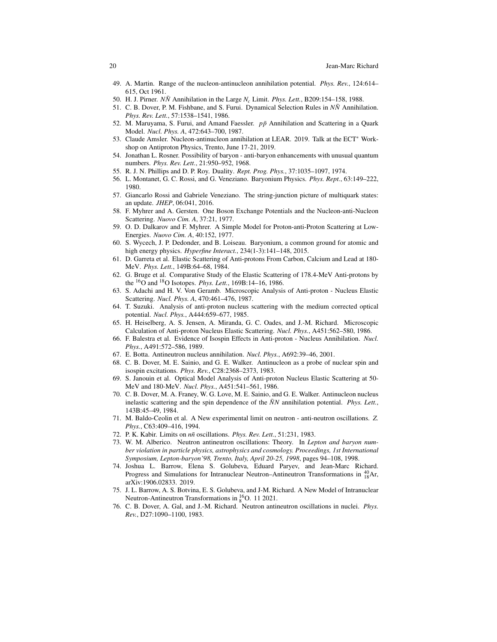- <span id="page-19-0"></span>49. A. Martin. Range of the nucleon-antinucleon annihilation potential. *Phys. Rev.*, 124:614– 615, Oct 1961.
- <span id="page-19-1"></span>50. H. J. Pirner.  $N\bar{N}$  Annihilation in the Large  $N_c$  Limit. *Phys. Lett.*, B209:154–158, 1988.
- <span id="page-19-2"></span>51. C. B. Dover, P. M. Fishbane, and S. Furui. Dynamical Selection Rules in  $N\bar{N}$  Annihilation. *Phys. Rev. Lett.*, 57:1538–1541, 1986.
- <span id="page-19-3"></span>52. M. Maruyama, S. Furui, and Amand Faessler. *pp*¯ Annihilation and Scattering in a Quark Model. *Nucl. Phys. A*, 472:643–700, 1987.
- <span id="page-19-4"></span>53. Claude Amsler. Nucleon-antinucleon annihilation at LEAR. 2019. Talk at the ECT∗ Workshop on Antiproton Physics, Trento, June 17-21, 2019.
- <span id="page-19-5"></span>54. Jonathan L. Rosner. Possibility of baryon - anti-baryon enhancements with unusual quantum numbers. *Phys. Rev. Lett.*, 21:950–952, 1968.
- <span id="page-19-6"></span>55. R. J. N. Phillips and D. P. Roy. Duality. *Rept. Prog. Phys.*, 37:1035–1097, 1974.
- <span id="page-19-7"></span>56. L. Montanet, G. C. Rossi, and G. Veneziano. Baryonium Physics. *Phys. Rept.*, 63:149–222, 1980.
- <span id="page-19-8"></span>57. Giancarlo Rossi and Gabriele Veneziano. The string-junction picture of multiquark states: an update. *JHEP*, 06:041, 2016.
- <span id="page-19-9"></span>58. F. Myhrer and A. Gersten. One Boson Exchange Potentials and the Nucleon-anti-Nucleon Scattering. *Nuovo Cim. A*, 37:21, 1977.
- <span id="page-19-10"></span>59. O. D. Dalkarov and F. Myhrer. A Simple Model for Proton-anti-Proton Scattering at Low-Energies. *Nuovo Cim. A*, 40:152, 1977.
- <span id="page-19-11"></span>60. S. Wycech, J. P. Dedonder, and B. Loiseau. Baryonium, a common ground for atomic and high energy physics. *Hyperfine Interact.*, 234(1-3):141–148, 2015.
- <span id="page-19-12"></span>61. D. Garreta et al. Elastic Scattering of Anti-protons From Carbon, Calcium and Lead at 180- MeV. *Phys. Lett.*, 149B:64–68, 1984.
- <span id="page-19-13"></span>62. G. Bruge et al. Comparative Study of the Elastic Scattering of 178.4-MeV Anti-protons by the <sup>16</sup>O and <sup>18</sup>O Isotopes. *Phys. Lett.*, 169B:14–16, 1986.
- <span id="page-19-14"></span>63. S. Adachi and H. V. Von Geramb. Microscopic Analysis of Anti-proton - Nucleus Elastic Scattering. *Nucl. Phys. A*, 470:461–476, 1987.
- <span id="page-19-15"></span>64. T. Suzuki. Analysis of anti-proton nucleus scattering with the medium corrected optical potential. *Nucl. Phys.*, A444:659–677, 1985.
- <span id="page-19-16"></span>65. H. Heiselberg, A. S. Jensen, A. Miranda, G. C. Oades, and J.-M. Richard. Microscopic Calculation of Anti-proton Nucleus Elastic Scattering. *Nucl. Phys.*, A451:562–580, 1986.
- <span id="page-19-17"></span>66. F. Balestra et al. Evidence of Isospin Effects in Anti-proton - Nucleus Annihilation. *Nucl. Phys.*, A491:572–586, 1989.
- <span id="page-19-18"></span>67. E. Botta. Antineutron nucleus annihilation. *Nucl. Phys.*, A692:39–46, 2001.
- <span id="page-19-19"></span>68. C. B. Dover, M. E. Sainio, and G. E. Walker. Antinucleon as a probe of nuclear spin and isospin excitations. *Phys. Rev.*, C28:2368–2373, 1983.
- <span id="page-19-20"></span>69. S. Janouin et al. Optical Model Analysis of Anti-proton Nucleus Elastic Scattering at 50- MeV and 180-MeV. *Nucl. Phys.*, A451:541–561, 1986.
- <span id="page-19-21"></span>70. C. B. Dover, M. A. Franey, W. G. Love, M. E. Sainio, and G. E. Walker. Antinucleon nucleus inelastic scattering and the spin dependence of the  $\bar{N}N$  annihilation potential. *Phys. Lett.*, 143B:45–49, 1984.
- <span id="page-19-22"></span>71. M. Baldo-Ceolin et al. A New experimental limit on neutron - anti-neutron oscillations. *Z. Phys.*, C63:409–416, 1994.
- <span id="page-19-23"></span>72. P. K. Kabir. Limits on *nn*¯ oscillations. *Phys. Rev. Lett.*, 51:231, 1983.
- <span id="page-19-24"></span>73. W. M. Alberico. Neutron antineutron oscillations: Theory. In *Lepton and baryon number violation in particle physics, astrophysics and cosmology. Proceedings, 1st International Symposium, Lepton-baryon'98, Trento, Italy, April 20-25, 1998*, pages 94–108, 1998.
- <span id="page-19-25"></span>74. Joshua L. Barrow, Elena S. Golubeva, Eduard Paryev, and Jean-Marc Richard. Progress and Simulations for Intranuclear Neutron–Antineutron Transformations in  $^{40}_{18}$ Ar, arXiv:1906.02833. 2019.
- <span id="page-19-26"></span>75. J. L. Barrow, A. S. Botvina, E. S. Golubeva, and J-M. Richard. A New Model of Intranuclear Neutron-Antineutron Transformations in  $^{16}_{8}$ O. 11 2021.
- <span id="page-19-27"></span>76. C. B. Dover, A. Gal, and J.-M. Richard. Neutron antineutron oscillations in nuclei. *Phys. Rev.*, D27:1090–1100, 1983.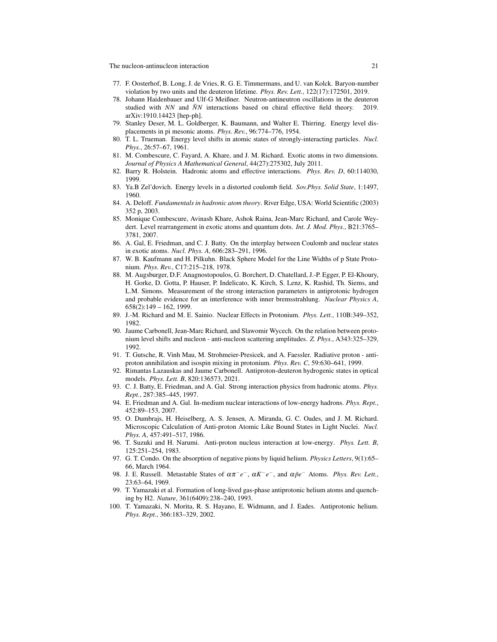- <span id="page-20-0"></span>77. F. Oosterhof, B. Long, J. de Vries, R. G. E. Timmermans, and U. van Kolck. Baryon-number violation by two units and the deuteron lifetime. *Phys. Rev. Lett.*, 122(17):172501, 2019.
- <span id="page-20-1"></span>78. Johann Haidenbauer and Ulf-G Meißner. Neutron-antineutron oscillations in the deuteron studied with  $NN$  and  $\bar{N}N$  interactions based on chiral effective field theory. 2019. arXiv:1910.14423 [hep-ph].
- <span id="page-20-2"></span>79. Stanley Deser, M. L. Goldberger, K. Baumann, and Walter E. Thirring. Energy level displacements in pi mesonic atoms. *Phys. Rev.*, 96:774–776, 1954.
- <span id="page-20-3"></span>80. T. L. Trueman. Energy level shifts in atomic states of strongly-interacting particles. *Nucl. Phys.*, 26:57–67, 1961.
- <span id="page-20-4"></span>81. M. Combescure, C. Fayard, A. Khare, and J. M. Richard. Exotic atoms in two dimensions. *Journal of Physics A Mathematical General*, 44(27):275302, July 2011.
- <span id="page-20-5"></span>82. Barry R. Holstein. Hadronic atoms and effective interactions. *Phys. Rev. D*, 60:114030, 1999.
- <span id="page-20-6"></span>83. Ya.B Zel'dovich. Energy levels in a distorted coulomb field. *Sov.Phys. Solid State*, 1:1497, 1960.
- <span id="page-20-7"></span>84. A. Deloff. *Fundamentals in hadronic atom theory*. River Edge, USA: World Scientific (2003) 352 p, 2003.
- <span id="page-20-8"></span>85. Monique Combescure, Avinash Khare, Ashok Raina, Jean-Marc Richard, and Carole Weydert. Level rearrangement in exotic atoms and quantum dots. *Int. J. Mod. Phys.*, B21:3765– 3781, 2007.
- <span id="page-20-9"></span>86. A. Gal, E. Friedman, and C. J. Batty. On the interplay between Coulomb and nuclear states in exotic atoms. *Nucl. Phys. A*, 606:283–291, 1996.
- <span id="page-20-10"></span>87. W. B. Kaufmann and H. Pilkuhn. Black Sphere Model for the Line Widths of p State Protonium. *Phys. Rev.*, C17:215–218, 1978.
- <span id="page-20-11"></span>88. M. Augsburger, D.F. Anagnostopoulos, G. Borchert, D. Chatellard, J.-P. Egger, P. El-Khoury, H. Gorke, D. Gotta, P. Hauser, P. Indelicato, K. Kirch, S. Lenz, K. Rashid, Th. Siems, and L.M. Simons. Measurement of the strong interaction parameters in antiprotonic hydrogen and probable evidence for an interference with inner bremsstrahlung. *Nuclear Physics A*, 658(2):149 – 162, 1999.
- <span id="page-20-12"></span>89. J.-M. Richard and M. E. Sainio. Nuclear Effects in Protonium. *Phys. Lett.*, 110B:349–352, 1982.
- <span id="page-20-13"></span>90. Jaume Carbonell, Jean-Marc Richard, and Slawomir Wycech. On the relation between protonium level shifts and nucleon - anti-nucleon scattering amplitudes. *Z. Phys.*, A343:325–329, 1992.
- <span id="page-20-14"></span>91. T. Gutsche, R. Vinh Mau, M. Strohmeier-Presicek, and A. Faessler. Radiative proton - antiproton annihilation and isospin mixing in protonium. *Phys. Rev. C*, 59:630–641, 1999.
- <span id="page-20-15"></span>92. Rimantas Lazauskas and Jaume Carbonell. Antiproton-deuteron hydrogenic states in optical models. *Phys. Lett. B*, 820:136573, 2021.
- <span id="page-20-16"></span>93. C. J. Batty, E. Friedman, and A. Gal. Strong interaction physics from hadronic atoms. *Phys. Rept.*, 287:385–445, 1997.
- <span id="page-20-17"></span>94. E. Friedman and A. Gal. In-medium nuclear interactions of low-energy hadrons. *Phys. Rept.*, 452:89–153, 2007.
- <span id="page-20-18"></span>95. O. Dumbrajs, H. Heiselberg, A. S. Jensen, A. Miranda, G. C. Oades, and J. M. Richard. Microscopic Calculation of Anti-proton Atomic Like Bound States in Light Nuclei. *Nucl. Phys. A*, 457:491–517, 1986.
- <span id="page-20-19"></span>96. T. Suzuki and H. Narumi. Anti-proton nucleus interaction at low-energy. *Phys. Lett. B*, 125:251–254, 1983.
- <span id="page-20-20"></span>97. G. T. Condo. On the absorption of negative pions by liquid helium. *Physics Letters*, 9(1):65– 66, March 1964.
- <span id="page-20-21"></span>98. J. E. Russell. Metastable States of απ−*e* <sup>−</sup>, α*K* −*e* <sup>−</sup>, and α *pe*¯ − Atoms. *Phys. Rev. Lett.*, 23:63–64, 1969.
- <span id="page-20-22"></span>99. T. Yamazaki et al. Formation of long-lived gas-phase antiprotonic helium atoms and quenching by H2. *Nature*, 361(6409):238–240, 1993.
- <span id="page-20-23"></span>100. T. Yamazaki, N. Morita, R. S. Hayano, E. Widmann, and J. Eades. Antiprotonic helium. *Phys. Rept.*, 366:183–329, 2002.